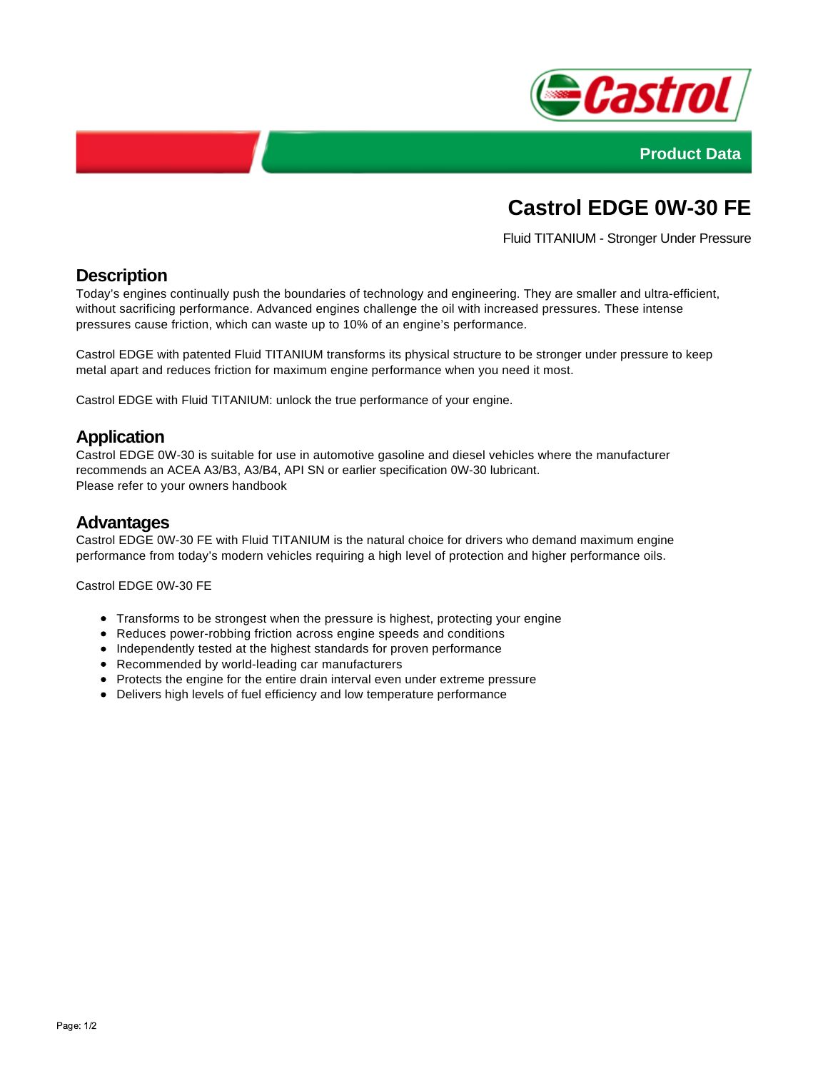



# **Castrol EDGE 0W-30 FE**

Fluid TITANIUM - Stronger Under Pressure

# **Description**

Today's engines continually push the boundaries of technology and engineering. They are smaller and ultra-efficient, without sacrificing performance. Advanced engines challenge the oil with increased pressures. These intense pressures cause friction, which can waste up to 10% of an engine's performance.

Castrol EDGE with patented Fluid TITANIUM transforms its physical structure to be stronger under pressure to keep metal apart and reduces friction for maximum engine performance when you need it most.

Castrol EDGE with Fluid TITANIUM: unlock the true performance of your engine.

### **Application**

Castrol EDGE 0W-30 is suitable for use in automotive gasoline and diesel vehicles where the manufacturer recommends an ACEA A3/B3, A3/B4, API SN or earlier specification 0W-30 lubricant. Please refer to your owners handbook

#### **Advantages**

Castrol EDGE 0W-30 FE with Fluid TITANIUM is the natural choice for drivers who demand maximum engine performance from today's modern vehicles requiring a high level of protection and higher performance oils.

Castrol EDGE 0W-30 FE

- Transforms to be strongest when the pressure is highest, protecting your engine
- Reduces power-robbing friction across engine speeds and conditions
- Independently tested at the highest standards for proven performance
- Recommended by world-leading car manufacturers
- Protects the engine for the entire drain interval even under extreme pressure
- Delivers high levels of fuel efficiency and low temperature performance